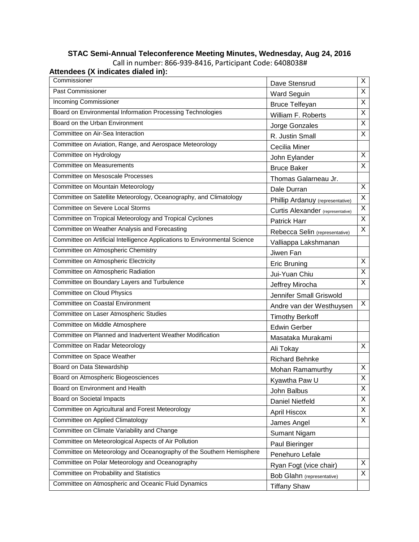#### **STAC Semi-Annual Teleconference Meeting Minutes, Wednesday, Aug 24, 2016** Call in number: 866-939-8416, Participant Code: 6408038# **Attendees (X indicates dialed in):**

| Commissioner                                                               | Dave Stensrud                            | X                       |
|----------------------------------------------------------------------------|------------------------------------------|-------------------------|
| Past Commissioner                                                          | <b>Ward Seguin</b>                       | $\overline{\mathsf{x}}$ |
| <b>Incoming Commissioner</b>                                               | <b>Bruce Telfeyan</b>                    | X                       |
| Board on Environmental Information Processing Technologies                 | William F. Roberts                       | $\overline{X}$          |
| Board on the Urban Environment                                             | Jorge Gonzales                           | X                       |
| Committee on Air-Sea Interaction                                           | R. Justin Small                          | X                       |
| Committee on Aviation, Range, and Aerospace Meteorology                    | Cecilia Miner                            |                         |
| Committee on Hydrology                                                     | John Eylander                            | X                       |
| <b>Committee on Measurements</b>                                           | <b>Bruce Baker</b>                       | $\overline{X}$          |
| Committee on Mesoscale Processes                                           | Thomas Galarneau Jr.                     |                         |
| Committee on Mountain Meteorology                                          | Dale Durran                              | X                       |
| Committee on Satellite Meteorology, Oceanography, and Climatology          | Phillip Ardanuy (representative)         | $\overline{X}$          |
| Committee on Severe Local Storms                                           | <b>Curtis Alexander</b> (representative) | Χ                       |
| Committee on Tropical Meteorology and Tropical Cyclones                    | Patrick Harr                             | $\overline{X}$          |
| Committee on Weather Analysis and Forecasting                              | Rebecca Selin (representative)           | X                       |
| Committee on Artificial Intelligence Applications to Environmental Science | Valliappa Lakshmanan                     |                         |
| Committee on Atmospheric Chemistry                                         | Jiwen Fan                                |                         |
| Committee on Atmospheric Electricity                                       | <b>Eric Bruning</b>                      | X                       |
| Committee on Atmospheric Radiation                                         | Jui-Yuan Chiu                            | X                       |
| Committee on Boundary Layers and Turbulence                                | Jeffrey Mirocha                          | X                       |
| <b>Committee on Cloud Physics</b>                                          | Jennifer Small Griswold                  |                         |
| <b>Committee on Coastal Environment</b>                                    | Andre van der Westhuysen                 | X                       |
| Committee on Laser Atmospheric Studies                                     | <b>Timothy Berkoff</b>                   |                         |
| Committee on Middle Atmosphere                                             | <b>Edwin Gerber</b>                      |                         |
| Committee on Planned and Inadvertent Weather Modification                  | Masataka Murakami                        |                         |
| Committee on Radar Meteorology                                             | Ali Tokay                                | X                       |
| Committee on Space Weather                                                 | <b>Richard Behnke</b>                    |                         |
| Board on Data Stewardship                                                  | Mohan Ramamurthy                         | X                       |
| Board on Atmospheric Biogeosciences                                        | Kyawtha Paw U                            | $\overline{\mathsf{x}}$ |
| Board on Environment and Health                                            | John Balbus                              | X                       |
| Board on Societal Impacts                                                  | Daniel Nietfeld                          | X                       |
| Committee on Agricultural and Forest Meteorology                           | <b>April Hiscox</b>                      | X                       |
| Committee on Applied Climatology                                           | James Angel                              | X                       |
| Committee on Climate Variability and Change                                | Sumant Nigam                             |                         |
| Committee on Meteorological Aspects of Air Pollution                       | Paul Bieringer                           |                         |
| Committee on Meteorology and Oceanography of the Southern Hemisphere       | Penehuro Lefale                          |                         |
| Committee on Polar Meteorology and Oceanography                            | Ryan Fogt (vice chair)                   | X                       |
| Committee on Probability and Statistics                                    | Bob Glahn (representative)               | X                       |
| Committee on Atmospheric and Oceanic Fluid Dynamics                        | <b>Tiffany Shaw</b>                      |                         |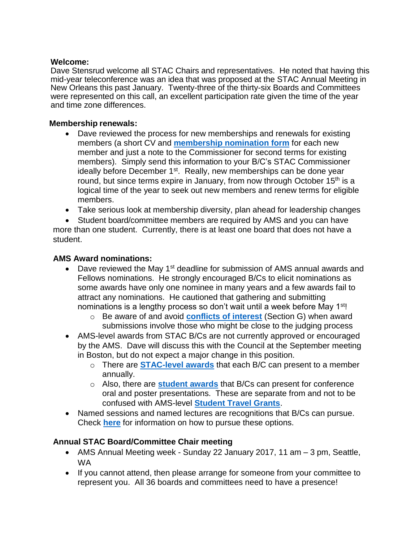#### **Welcome:**

Dave Stensrud welcome all STAC Chairs and representatives. He noted that having this mid-year teleconference was an idea that was proposed at the STAC Annual Meeting in New Orleans this past January. Twenty-three of the thirty-six Boards and Committees were represented on this call, an excellent participation rate given the time of the year and time zone differences.

## **Membership renewals:**

- Dave reviewed the process for new memberships and renewals for existing members (a short CV and **[membership](https://www.ametsoc.org/stac/index.cfm/chair-member-information/membership/stac-membership-nomination-form2/) nomination form** for each new member and just a note to the Commissioner for second terms for existing members). Simply send this information to your B/C's STAC Commissioner ideally before December 1<sup>st</sup>. Really, new memberships can be done year round, but since terms expire in January, from now through October 15<sup>th</sup> is a logical time of the year to seek out new members and renew terms for eligible members.
- Take serious look at membership diversity, plan ahead for leadership changes

 Student board/committee members are required by AMS and you can have more than one student. Currently, there is at least one board that does not have a student.

#### **AMS Award nominations:**

- Dave reviewed the May 1<sup>st</sup> deadline for submission of AMS annual awards and Fellows nominations. He strongly encouraged B/Cs to elicit nominations as some awards have only one nominee in many years and a few awards fail to attract any nominations. He cautioned that gathering and submitting nominations is a lengthy process so don't wait until a week before May 1<sup>st</sup>!
	- o Be aware of and avoid **[conflicts of interest](https://www.ametsoc.org/ams/index.cfm/about-ams/ams-awards-honors/information-for-award-committee-members/policy-guidelines-and-procedures-for-society-and-commission-awards/)** (Section G) when award submissions involve those who might be close to the judging process
- AMS-level awards from STAC B/Cs are not currently approved or encouraged by the AMS. Dave will discuss this with the Council at the September meeting in Boston, but do not expect a major change in this position.
	- o There are **[STAC-level awards](https://www.ametsoc.org/stac/index.cfm/chair-member-information/awards/stac-board-and-committee-awards/)** that each B/C can present to a member annually.
	- o Also, there are **[student awards](https://www.ametsoc.org/stac/index.cfm/chair-member-information/awards/guidelines-for-board-committee-student-awards/)** that B/Cs can present for conference oral and poster presentations. These are separate from and not to be confused with AMS-level **[Student Travel Grants](https://www.ametsoc.org/ams/index.cfm/information-for/students/ams-student-travel-grants/)**.
- Named sessions and named lectures are recognitions that B/Cs can pursue. Check **[here](https://www.ametsoc.org/ams/index.cfm/about-ams/ams-awards-fellows-and-honorary-members/)** for information on how to pursue these options.

# **Annual STAC Board/Committee Chair meeting**

- AMS Annual Meeting week Sunday 22 January 2017, 11 am 3 pm, Seattle, WA
- If you cannot attend, then please arrange for someone from your committee to represent you. All 36 boards and committees need to have a presence!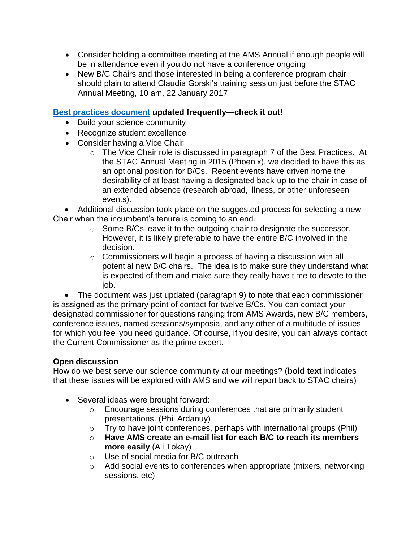- Consider holding a committee meeting at the AMS Annual if enough people will be in attendance even if you do not have a conference ongoing
- New B/C Chairs and those interested in being a conference program chair should plain to attend Claudia Gorski's training session just before the STAC Annual Meeting, 10 am, 22 January 2017

## **Best practices [document](https://www.ametsoc.org/stac/index.cfm/chair-member-information/stac-board-committee-best-practices1/) updated frequently—check it out!**

- Build your science community
- Recognize student excellence
- Consider having a Vice Chair
	- o The Vice Chair role is discussed in paragraph 7 of the Best Practices. At the STAC Annual Meeting in 2015 (Phoenix), we decided to have this as an optional position for B/Cs. Recent events have driven home the desirability of at least having a designated back-up to the chair in case of an extended absence (research abroad, illness, or other unforeseen events).

 Additional discussion took place on the suggested process for selecting a new Chair when the incumbent's tenure is coming to an end.

- o Some B/Cs leave it to the outgoing chair to designate the successor. However, it is likely preferable to have the entire B/C involved in the decision.
- $\circ$  Commissioners will begin a process of having a discussion with all potential new B/C chairs. The idea is to make sure they understand what is expected of them and make sure they really have time to devote to the job.

• The document was just updated (paragraph 9) to note that each commissioner is assigned as the primary point of contact for twelve B/Cs. You can contact your designated commissioner for questions ranging from AMS Awards, new B/C members, conference issues, named sessions/symposia, and any other of a multitude of issues for which you feel you need guidance. Of course, if you desire, you can always contact the Current Commissioner as the prime expert.

# **Open discussion**

How do we best serve our science community at our meetings? (**bold text** indicates that these issues will be explored with AMS and we will report back to STAC chairs)

- Several ideas were brought forward:
	- o Encourage sessions during conferences that are primarily student presentations. (Phil Ardanuy)
	- o Try to have joint conferences, perhaps with international groups (Phil)
	- o **Have AMS create an e-mail list for each B/C to reach its members more easily** (Ali Tokay)
	- o Use of social media for B/C outreach
	- o Add social events to conferences when appropriate (mixers, networking sessions, etc)